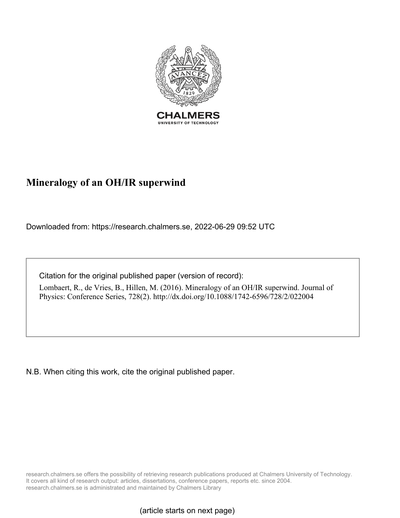

# **Mineralogy of an OH/IR superwind**

Downloaded from: https://research.chalmers.se, 2022-06-29 09:52 UTC

Citation for the original published paper (version of record):

Lombaert, R., de Vries, B., Hillen, M. (2016). Mineralogy of an OH/IR superwind. Journal of Physics: Conference Series, 728(2). http://dx.doi.org/10.1088/1742-6596/728/2/022004

N.B. When citing this work, cite the original published paper.

research.chalmers.se offers the possibility of retrieving research publications produced at Chalmers University of Technology. It covers all kind of research output: articles, dissertations, conference papers, reports etc. since 2004. research.chalmers.se is administrated and maintained by Chalmers Library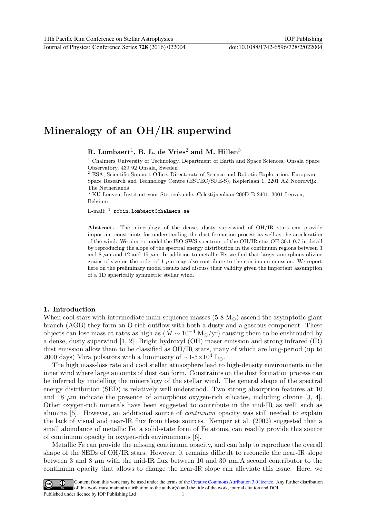## Mineralogy of an OH/IR superwind

R. Lombaert<sup>1</sup>, B. L. de Vries<sup>2</sup> and M. Hillen<sup>3</sup>

<sup>1</sup> Chalmers University of Technology, Department of Earth and Space Sciences, Onsala Space Observatory, 439 92 Onsala, Sweden

<sup>2</sup> ESA, Scientific Support Office, Directorate of Science and Robotic Exploration, European Space Research and Technology Centre (ESTEC/SRE-S), Keplerlaan 1, 2201 AZ Noordwijk, The Netherlands

 $^3$  KU Leuven, Instituut voor Sterrenkunde, Celestijnenlaan 200D B-2401, 3001 Leuven, Belgium

 $E$ -mail:  $<sup>1</sup>$  robin.lombaert@chalmers.se</sup>

Abstract. The mineralogy of the dense, dusty superwind of OH/IR stars can provide important constraints for understanding the dust formation process as well as the acceleration of the wind. We aim to model the ISO-SWS spectrum of the OH/IR star OH 30.1-0.7 in detail by reproducing the slope of the spectral energy distribution in the continuum regions between 3 and  $8 \mu$ m and 12 and 15  $\mu$ m. In addition to metallic Fe, we find that larger amorphous olivine grains of size on the order of  $1 \mu m$  may also contribute to the continuum emission. We report here on the preliminary model results and discuss their validity given the important assumption of a 1D spherically symmetric stellar wind.

#### 1. Introduction

When cool stars with intermediate main-sequence masses  $(5-8 M_{\odot})$  ascend the asymptotic giant branch (AGB) they form an O-rich outflow with both a dusty and a gaseous component. These objects can lose mass at rates as high as  $(\dot{M} \sim 10^{-4} \text{ M}_{\odot}/\text{yr})$  causing them to be enshrouded by a dense, dusty superwind [1, 2]. Bright hydroxyl (OH) maser emission and strong infrared (IR) dust emission allow them to be classified as OH/IR stars, many of which are long-period (up to 2000 days) Mira pulsators with a luminosity of  $\sim$ 1-5×10<sup>4</sup> L<sub>⊙</sub>.

The high mass-loss rate and cool stellar atmosphere lead to high-density environments in the inner wind where large amounts of dust can form. Constraints on the dust formation process can be inferred by modelling the mineralogy of the stellar wind. The general shape of the spectral energy distribution (SED) is relatively well understood. Two strong absorption features at 10 and 18  $\mu$ m indicate the presence of amorphous oxygen-rich silicates, including olivine [3, 4]. Other oxygen-rich minerals have been suggested to contribute in the mid-IR as well, such as alumina [5]. However, an additional source of continuum opacity was still needed to explain the lack of visual and near-IR flux from these sources. Kemper et al. (2002) suggested that a small abundance of metallic Fe, a solid-state form of Fe atoms, can readily provide this source of continuum opacity in oxygen-rich environments [6].

Metallic Fe can provide the missing continuum opacity, and can help to reproduce the overall shape of the SEDs of OH/IR stars. However, it remains difficult to reconcile the near-IR slope between 3 and 8  $\mu$ m with the mid-IR flux between 10 and 30  $\mu$ m.A second contributor to the continuum opacity that allows to change the near-IR slope can alleviate this issue. Here, we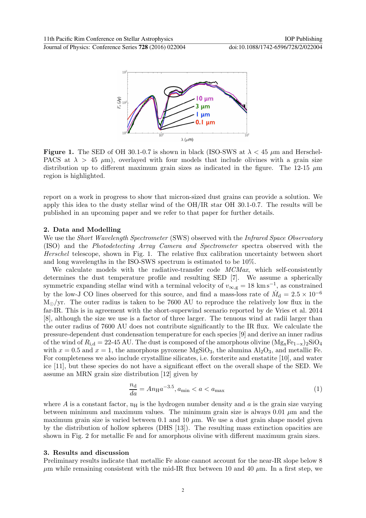

**Figure 1.** The SED of OH 30.1-0.7 is shown in black (ISO-SWS at  $\lambda < 45 \mu m$  and Herschel-PACS at  $\lambda > 45$   $\mu$ m), overlayed with four models that include olivines with a grain size distribution up to different maximum grain sizes as indicated in the figure. The 12-15  $\mu$ m region is highlighted.

report on a work in progress to show that micron-sized dust grains can provide a solution. We apply this idea to the dusty stellar wind of the OH/IR star OH 30.1-0.7. The results will be published in an upcoming paper and we refer to that paper for further details.

#### 2. Data and Modelling

We use the *Short Wavelength Spectrometer* (SWS) observed with the *Infrared Space Observatory* (ISO) and the Photodetecting Array Camera and Spectrometer spectra observed with the Herschel telescope, shown in Fig. 1. The relative flux calibration uncertainty between short and long wavelengths in the ISO-SWS spectrum is estimated to be 10%.

We calculate models with the radiative-transfer code  $MCMax$ , which self-consistently determines the dust temperature profile and resulting SED [7]. We assume a spherically symmetric expanding stellar wind with a terminal velocity of  $v_{\infty,g} = 18 \text{ km s}^{-1}$ , as constrained by the low-J CO lines observed for this source, and find a mass-loss rate of  $\dot{M}_{\rm d} = 2.5 \times 10^{-6}$  $M_{\odot}/yr$ . The outer radius is taken to be 7600 AU to reproduce the relatively low flux in the far-IR. This is in agreement with the short-superwind scenario reported by de Vries et al. 2014 [8], although the size we use is a factor of three larger. The tenuous wind at radii larger than the outer radius of 7600 AU does not contribute significantly to the IR flux. We calculate the pressure-dependent dust condensation temperature for each species [9] and derive an inner radius of the wind of  $R_{i,d} = 22-45$  AU. The dust is composed of the amorphous olivine  $(Mg_xFe_{1-x})_2SiO_4$ with  $x = 0.5$  and  $x = 1$ , the amorphous pyroxene MgSiO<sub>3</sub>, the alumina Al<sub>2</sub>O<sub>3</sub>, and metallic Fe. For completeness we also include crystalline silicates, i.e. forsterite and enstatite [10], and water ice [11], but these species do not have a significant effect on the overall shape of the SED. We assume an MRN grain size distribution [12] given by

$$
\frac{n_{\rm d}}{da} = A n_{\rm H} a^{-3.5}, a_{\rm min} < a < a_{\rm max} \tag{1}
$$

where A is a constant factor,  $n_H$  is the hydrogen number density and a is the grain size varying between minimum and maximum values. The minimum grain size is always  $0.01 \mu m$  and the maximum grain size is varied between 0.1 and 10  $\mu$ m. We use a dust grain shape model given by the distribution of hollow spheres (DHS [13]). The resulting mass extinction opacities are shown in Fig. 2 for metallic Fe and for amorphous olivine with different maximum grain sizes.

#### 3. Results and discussion

Preliminary results indicate that metallic Fe alone cannot account for the near-IR slope below 8  $\mu$ m while remaining consistent with the mid-IR flux between 10 and 40  $\mu$ m. In a first step, we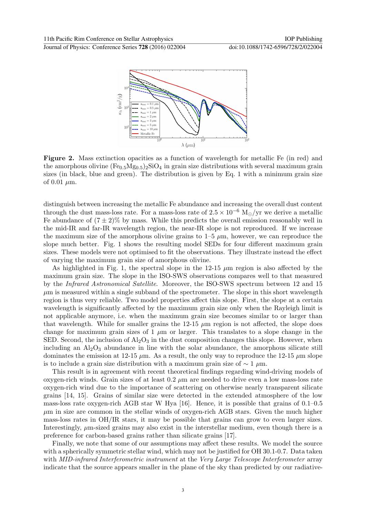

Figure 2. Mass extinction opacities as a function of wavelength for metallic Fe (in red) and the amorphous olivine  $(F_{0.5}M_{0.5})_2SiO_4$  in grain size distributions with several maximum grain sizes (in black, blue and green). The distribution is given by Eq. 1 with a minimum grain size of  $0.01 \mu m$ .

distinguish between increasing the metallic Fe abundance and increasing the overall dust content through the dust mass-loss rate. For a mass-loss rate of  $2.5 \times 10^{-6}$  M<sub>o</sub>/yr we derive a metallic Fe abundance of  $(7 \pm 2)\%$  by mass. While this predicts the overall emission reasonably well in the mid-IR and far-IR wavelength region, the near-IR slope is not reproduced. If we increase the maximum size of the amorphous olivine grains to  $1-5 \mu m$ , however, we can reproduce the slope much better. Fig. 1 shows the resulting model SEDs for four different maximum grain sizes. These models were not optimised to fit the observations. They illustrate instead the effect of varying the maximum grain size of amorphous olivine.

As highlighted in Fig. 1, the spectral slope in the  $12-15 \mu m$  region is also affected by the maximum grain size. The slope in the ISO-SWS observations compares well to that measured by the Infrared Astronomical Satellite. Moreover, the ISO-SWS spectrum between 12 and 15  $\mu$ m is measured within a single subband of the spectrometer. The slope in this short wavelength region is thus very reliable. Two model properties affect this slope. First, the slope at a certain wavelength is significantly affected by the maximum grain size only when the Rayleigh limit is not applicable anymore, i.e. when the maximum grain size becomes similar to or larger than that wavelength. While for smaller grains the 12-15  $\mu$ m region is not affected, the slope does change for maximum grain sizes of 1  $\mu$ m or larger. This translates to a slope change in the SED. Second, the inclusion of  $A_2O_3$  in the dust composition changes this slope. However, when including an  $\rm Al_2O_3$  abundance in line with the solar abundance, the amorphous silicate still dominates the emission at 12-15  $\mu$ m. As a result, the only way to reproduce the 12-15  $\mu$ m slope is to include a grain size distribution with a maximum grain size of  $\sim 1 \mu$ m.

This result is in agreement with recent theoretical findings regarding wind-driving models of oxygen-rich winds. Grain sizes of at least  $0.2 \mu m$  are needed to drive even a low mass-loss rate oxygen-rich wind due to the importance of scattering on otherwise nearly transparent silicate grains [14, 15]. Grains of similar size were detected in the extended atmosphere of the low mass-loss rate oxygen-rich AGB star W Hya [16]. Hence, it is possible that grains of 0.1–0.5  $\mu$ m in size are common in the stellar winds of oxygen-rich AGB stars. Given the much higher mass-loss rates in OH/IR stars, it may be possible that grains can grow to even larger sizes. Interestingly, µm-sized grains may also exist in the interstellar medium, even though there is a preference for carbon-based grains rather than silicate grains [17].

Finally, we note that some of our assumptions may affect these results. We model the source with a spherically symmetric stellar wind, which may not be justified for OH 30.1-0.7. Data taken with MID-infrared Interferometric instrument at the Very Large Telescope Interferometer array indicate that the source appears smaller in the plane of the sky than predicted by our radiative